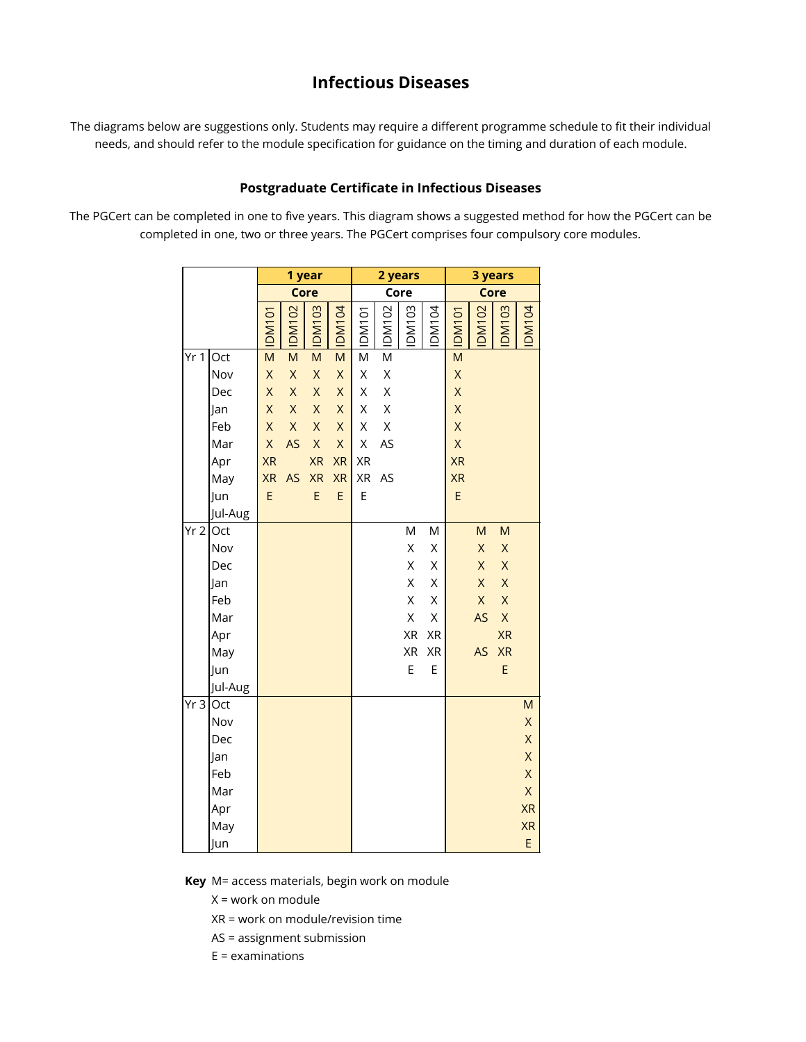## **Infectious Diseases**

The diagrams below are suggestions only. Students may require a different programme schedule to fit their individual needs, and should refer to the module specification for guidance on the timing and duration of each module.

## **Postgraduate Certificate in Infectious Diseases**

The PGCert can be completed in one to five years. This diagram shows a suggested method for how the PGCert can be completed in one, two or three years. The PGCert comprises four compulsory core modules.

|                    |         |                         |              | 1 year                  |              |              | 2 years     |       |       | 3 years      |              |                         |              |  |  |  |  |  |  |
|--------------------|---------|-------------------------|--------------|-------------------------|--------------|--------------|-------------|-------|-------|--------------|--------------|-------------------------|--------------|--|--|--|--|--|--|
|                    |         |                         |              | Core                    |              |              |             | Core  |       |              |              | Core                    |              |  |  |  |  |  |  |
|                    |         | <b>DM101</b>            | <b>DM102</b> | <b>DM103</b>            | <b>DM104</b> | <b>DM101</b> | DM102       | DM103 | DM104 | <b>DM101</b> | <b>DM102</b> | <b>DM103</b>            | <b>DM104</b> |  |  |  |  |  |  |
| Yr <sub>1</sub>    | Oct     | $\overline{\mathsf{M}}$ | M            | $\overline{\mathsf{M}}$ | M            | M            | M           |       |       | M            |              |                         |              |  |  |  |  |  |  |
|                    | Nov     | X                       | X            | $\mathsf X$             | Χ            | Χ            | Χ           |       |       | X            |              |                         |              |  |  |  |  |  |  |
|                    | Dec     | $\mathsf X$             | X            | X                       | X            | Χ            | X           |       |       | X            |              |                         |              |  |  |  |  |  |  |
|                    | Jan     | $\mathsf{X}$            | X            | $\mathsf X$             | X            | Χ            | X           |       |       | X            |              |                         |              |  |  |  |  |  |  |
|                    | Feb     | $\mathsf{X}$            | $\mathsf X$  | $\mathsf X$             | $\mathsf{X}$ | Χ            | $\mathsf X$ |       |       | X            |              |                         |              |  |  |  |  |  |  |
|                    | Mar     | $\mathsf X$             | AS           | $\mathsf X$             | $\mathsf X$  | X            | AS          |       |       | X            |              |                         |              |  |  |  |  |  |  |
|                    | Apr     | <b>XR</b>               |              | <b>XR</b>               | <b>XR</b>    | XR           |             |       |       | <b>XR</b>    |              |                         |              |  |  |  |  |  |  |
|                    | May     | <b>XR</b>               | AS           | <b>XR</b>               | <b>XR</b>    | XR           | AS          |       |       | <b>XR</b>    |              |                         |              |  |  |  |  |  |  |
|                    | Jun     | E                       |              | E                       | E            | E            |             |       |       | E            |              |                         |              |  |  |  |  |  |  |
|                    | Jul-Aug |                         |              |                         |              |              |             |       |       |              |              |                         |              |  |  |  |  |  |  |
| Yr <sub>2</sub>    | Oct     |                         |              |                         |              |              |             | M     | M     |              | M            | M                       |              |  |  |  |  |  |  |
|                    | Nov     |                         |              |                         |              |              |             | Χ     | Χ     |              | $\mathsf X$  | X                       |              |  |  |  |  |  |  |
|                    | Dec     |                         |              |                         |              |              |             | Χ     | Χ     |              | X            | X                       |              |  |  |  |  |  |  |
|                    | Jan     |                         |              |                         |              |              |             | Χ     | Χ     |              | $\mathsf X$  | $\mathsf{X}$            |              |  |  |  |  |  |  |
|                    | Feb     |                         |              |                         |              |              |             | X     | Χ     |              | $\mathsf X$  | $\overline{\mathsf{X}}$ |              |  |  |  |  |  |  |
|                    | Mar     |                         |              |                         |              |              |             | Χ     | X     |              | AS           | $\mathsf X$             |              |  |  |  |  |  |  |
|                    | Apr     |                         |              |                         |              |              |             | XR    | XR    |              |              | <b>XR</b>               |              |  |  |  |  |  |  |
|                    | May     |                         |              |                         |              |              |             | XR    | XR    |              | <b>AS</b>    | <b>XR</b>               |              |  |  |  |  |  |  |
|                    | Jun     |                         |              |                         |              |              |             | E     | E     |              |              | E                       |              |  |  |  |  |  |  |
|                    | Jul-Aug |                         |              |                         |              |              |             |       |       |              |              |                         |              |  |  |  |  |  |  |
| $\overline{Y}$ r 3 | Oct     |                         |              |                         |              |              |             |       |       |              |              |                         | M            |  |  |  |  |  |  |
|                    | Nov     |                         |              |                         |              |              |             |       |       |              |              |                         | X            |  |  |  |  |  |  |
|                    | Dec     |                         |              |                         |              |              |             |       |       |              |              |                         | X            |  |  |  |  |  |  |
|                    | Jan     |                         |              |                         |              |              |             |       |       |              |              |                         | X            |  |  |  |  |  |  |
|                    | Feb     |                         |              |                         |              |              |             |       |       |              |              |                         | X            |  |  |  |  |  |  |
|                    | Mar     |                         |              |                         |              |              |             |       |       |              |              |                         | X            |  |  |  |  |  |  |
|                    | Apr     |                         |              |                         |              |              |             |       |       |              |              |                         | <b>XR</b>    |  |  |  |  |  |  |
|                    | May     |                         |              |                         |              |              |             |       |       |              |              |                         | <b>XR</b>    |  |  |  |  |  |  |
|                    | Jun     |                         |              |                         |              |              |             |       |       |              |              |                         | E            |  |  |  |  |  |  |

**Key** M= access materials, begin work on module

X = work on module

XR = work on module/revision time

AS = assignment submission

 $E =$  examinations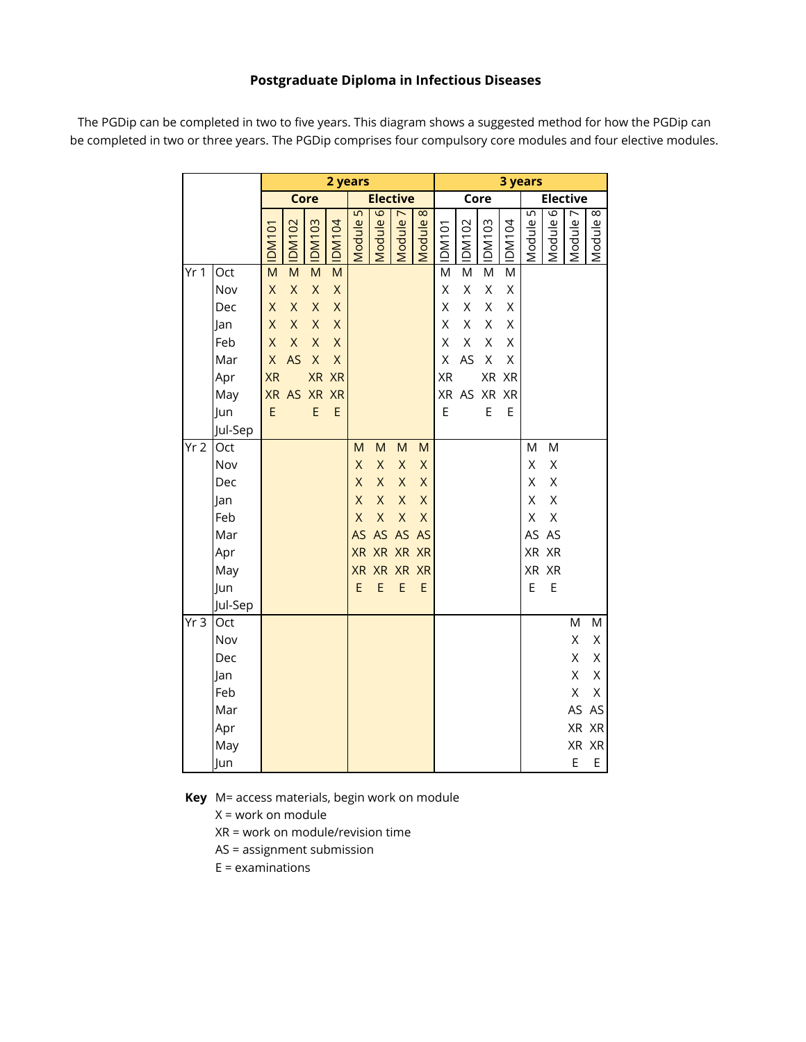## **Postgraduate Diploma in Infectious Diseases**

The PGDip can be completed in two to five years. This diagram shows a suggested method for how the PGDip can be completed in two or three years. The PGDip comprises four compulsory core modules and four elective modules.

|                 |                                                                        |                                                                                            |                                                                                                                 |                                                                                                       |                                                                                                                   | 2 years                                              |                                                                                        |                                                                     |                                                                                                                 | 3 years                                                     |                                                                  |                                                     |                                          |                                  |                                                    |                                        |                                                                   |  |  |  |  |  |
|-----------------|------------------------------------------------------------------------|--------------------------------------------------------------------------------------------|-----------------------------------------------------------------------------------------------------------------|-------------------------------------------------------------------------------------------------------|-------------------------------------------------------------------------------------------------------------------|------------------------------------------------------|----------------------------------------------------------------------------------------|---------------------------------------------------------------------|-----------------------------------------------------------------------------------------------------------------|-------------------------------------------------------------|------------------------------------------------------------------|-----------------------------------------------------|------------------------------------------|----------------------------------|----------------------------------------------------|----------------------------------------|-------------------------------------------------------------------|--|--|--|--|--|
|                 |                                                                        |                                                                                            |                                                                                                                 | Core                                                                                                  |                                                                                                                   |                                                      |                                                                                        | <b>Elective</b>                                                     |                                                                                                                 |                                                             |                                                                  | Core                                                |                                          |                                  | <b>Elective</b>                                    |                                        |                                                                   |  |  |  |  |  |
|                 |                                                                        | <b>IDM101</b>                                                                              | <b>DM102</b>                                                                                                    | <b>E01MOI</b>                                                                                         | <b>IDM104</b>                                                                                                     | 5<br>Module                                          | Module 6                                                                               | Module 7                                                            | $\infty$<br>Module                                                                                              | IDM <sub>101</sub>                                          | <b>IDM102</b>                                                    | <b>IDM103</b>                                       | <b>IDM104</b>                            | 5<br>Module                      | 6<br>Module                                        | $\overline{r}$<br>Module               | 8<br>Module                                                       |  |  |  |  |  |
| Yr <sub>1</sub> | Oct<br>Nov<br>Dec<br>Jan<br>Feb<br>Mar<br>Apr<br>May<br>Jun<br>Jul-Sep | $\overline{M}$<br>$\mathsf X$<br>X<br>X<br>X<br>$\mathsf X$<br><b>XR</b><br><b>XR</b><br>E | $\overline{M}$<br>$\mathsf X$<br>$\overline{\mathsf{X}}$<br>$\overline{\mathsf{X}}$<br>$\mathsf{X}$<br>AS<br>AS | $\overline{M}$<br>$\mathsf X$<br>$\mathsf X$<br>$\mathsf{X}% _{0}$<br>X<br>$\mathsf{X}$<br>XR XR<br>E | $\overline{\mathsf{M}}$<br>$\mathsf X$<br>$\mathsf X$<br>$\mathsf X$<br>$\mathsf{X}$<br>$\mathsf X$<br>XR XR<br>E |                                                      |                                                                                        |                                                                     |                                                                                                                 | $\overline{\mathsf{M}}$<br>X<br>X<br>X<br>X<br>X<br>XR<br>E | $\overline{\mathsf{M}}$<br>X<br>X<br>X<br>Χ<br>AS<br>XR AS XR XR | M<br>$\mathsf X$<br>$\mathsf X$<br>Χ<br>Χ<br>Χ<br>E | M<br>Χ<br>X<br>X<br>Χ<br>Χ<br>XR XR<br>E |                                  |                                                    |                                        |                                                                   |  |  |  |  |  |
| Yr2             | Oct<br>Nov<br>Dec<br>Jan<br>Feb<br>Mar<br>Apr<br>May<br>Jun<br>Jul-Sep |                                                                                            |                                                                                                                 |                                                                                                       |                                                                                                                   | M<br>X<br>X<br>X<br>X<br><b>AS</b><br><b>XR</b><br>E | M<br>$\mathsf X$<br>X<br>$\mathsf X$<br>$\overline{\mathsf{X}}$<br>AS<br>XR XR XR<br>E | M<br>X<br>$\overline{X}$<br>$\overline{X}$<br>X<br>AS<br>XR XR<br>E | M<br>$\mathsf X$<br>$\mathsf{X}$<br>$\overline{\mathsf{X}}$<br>$\mathsf X$<br>AS<br><b>XR</b><br><b>XR</b><br>E |                                                             |                                                                  |                                                     |                                          | M<br>Χ<br>X<br>X<br>X<br>AS<br>E | M<br>X<br>X<br>X<br>X<br>AS<br>XR XR<br>XR XR<br>E |                                        |                                                                   |  |  |  |  |  |
| Yr <sub>3</sub> | Oct<br>Nov<br>Dec<br>Jan<br>Feb<br>Mar<br>Apr<br>May<br>Jun            |                                                                                            |                                                                                                                 |                                                                                                       |                                                                                                                   |                                                      |                                                                                        |                                                                     |                                                                                                                 |                                                             |                                                                  |                                                     |                                          |                                  |                                                    | M<br>Χ<br>Χ<br>Χ<br>X<br>AS<br>XR<br>E | M<br>Χ<br>Χ<br>Χ<br>X<br>AS<br>$\mathsf{XR}\xspace$<br>XR XR<br>E |  |  |  |  |  |

**Key** M= access materials, begin work on module

X = work on module

XR = work on module/revision time

AS = assignment submission

E = examinations